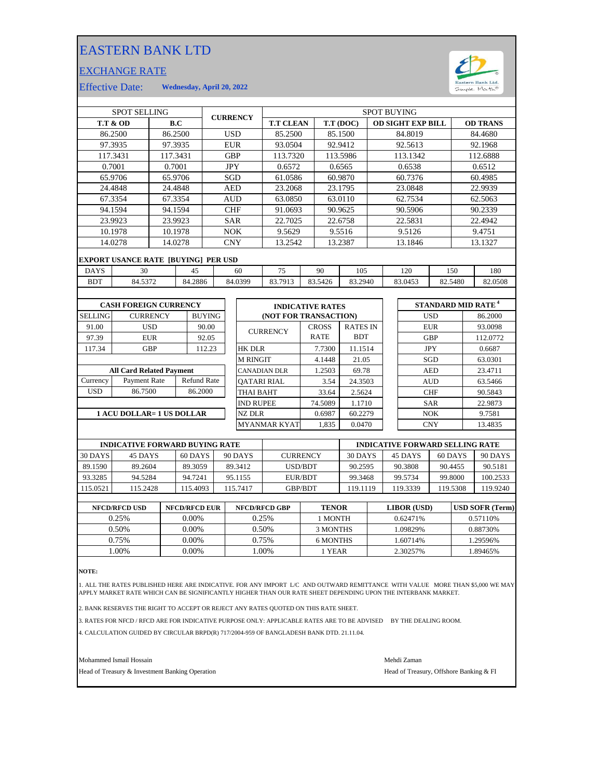## EASTERN BANK LTD

## EXCHANGE RATE



Effective Date: **Wednesday, April 20, 2022**

| <b>SPOT SELLING</b>              |                                            |                 |         | <b>CURRENCY</b> |            | <b>SPOT BUYING</b>      |                       |                   |                 |            |                          |            |                                      |                 |          |
|----------------------------------|--------------------------------------------|-----------------|---------|-----------------|------------|-------------------------|-----------------------|-------------------|-----------------|------------|--------------------------|------------|--------------------------------------|-----------------|----------|
| <b>T.T &amp; OD</b>              |                                            | B.C             |         |                 |            | <b>T.T CLEAN</b>        |                       |                   | T.T (DOC)       |            | <b>OD SIGHT EXP BILL</b> |            |                                      | <b>OD TRANS</b> |          |
| 86.2500                          |                                            | 86.2500         |         |                 | <b>USD</b> | 85.2500                 |                       | 85.1500           |                 | 84.8019    |                          |            | 84.4680                              |                 |          |
| 97.3935                          |                                            |                 | 97.3935 |                 | <b>EUR</b> |                         | 93.0504               | 92.9412           |                 | 92.5613    |                          |            |                                      | 92.1968         |          |
|                                  | 117.3431                                   | 117.3431        |         |                 | <b>GBP</b> |                         | 113.7320              |                   | 113.5986        |            | 113.1342                 |            |                                      | 112.6888        |          |
| 0.7001                           |                                            |                 | 0.7001  |                 | <b>JPY</b> |                         | 0.6572                |                   | 0.6565          |            | 0.6538                   |            | 0.6512                               |                 |          |
| 65.9706                          |                                            |                 | 65.9706 |                 | SGD        |                         | 61.0586               |                   | 60.9870         |            | 60.7376                  |            |                                      | 60.4985         |          |
|                                  | 24.4848                                    |                 | 24.4848 |                 | <b>AED</b> |                         | 23.2068               |                   | 23.1795         |            | 23.0848                  |            |                                      | 22.9939         |          |
|                                  | 67.3354                                    |                 | 67.3354 |                 | <b>AUD</b> |                         | 63.0850               |                   | 63.0110         |            |                          | 62.7534    |                                      | 62.5063         |          |
| 94.1594                          |                                            | 94.1594         |         |                 |            | <b>CHF</b>              | 91.0693               |                   | 90.9625         |            | 90.5906                  |            |                                      | 90.2339         |          |
|                                  | 23.9923<br>23.9923                         |                 |         |                 | <b>SAR</b> |                         | 22.7025               | 22.6758           |                 |            | 22.5831                  |            |                                      | 22.4942         |          |
|                                  | 10.1978<br>10.1978                         |                 |         | <b>NOK</b>      |            | 9.5629                  |                       | 9.5516            |                 | 9.5126     |                          |            | 9.4751                               |                 |          |
| 14.0278                          |                                            | 14.0278         |         |                 | <b>CNY</b> |                         | 13.2542               |                   | 13.2387         |            |                          | 13.1846    |                                      | 13.1327         |          |
|                                  | <b>EXPORT USANCE RATE [BUYING] PER USD</b> |                 |         |                 |            |                         |                       |                   |                 |            |                          |            |                                      |                 |          |
| <b>DAYS</b>                      | 30<br>45                                   |                 |         |                 | 60<br>75   |                         | 90                    |                   | 105             |            | 120<br>150               |            |                                      | 180             |          |
| <b>BDT</b>                       | 84.5372                                    |                 | 84.2886 |                 | 84.0399    | 83.7913                 | 83.5426               |                   | 83.2940         |            | 83.0453<br>82.5480       |            |                                      | 82.0508         |          |
|                                  |                                            |                 |         |                 |            |                         |                       |                   |                 |            |                          |            |                                      |                 |          |
| <b>CASH FOREIGN CURRENCY</b>     |                                            |                 |         |                 |            | <b>INDICATIVE RATES</b> |                       |                   |                 |            |                          |            | <b>STANDARD MID RATE<sup>4</sup></b> |                 |          |
| <b>SELLING</b>                   |                                            | <b>CURRENCY</b> |         | <b>BUYING</b>   |            |                         | (NOT FOR TRANSACTION) |                   |                 |            |                          |            | <b>USD</b>                           |                 | 86.2000  |
| 91.00                            |                                            | <b>USD</b>      |         | 90.00           |            |                         |                       | <b>CROSS</b>      | <b>RATES IN</b> |            |                          |            | <b>EUR</b>                           |                 | 93.0098  |
| 97.39                            |                                            | <b>EUR</b>      |         | 92.05           |            | <b>CURRENCY</b>         |                       | <b>RATE</b>       | <b>BDT</b>      |            |                          | <b>GBP</b> |                                      |                 | 112.0772 |
| 117.34                           |                                            | <b>GBP</b>      |         | 112.23          |            | <b>HK DLR</b>           |                       | 7.7300            | 11.1514         |            |                          | <b>JPY</b> |                                      | 0.6687          |          |
|                                  |                                            |                 |         |                 |            | <b>M RINGIT</b>         |                       | 4.1448<br>21.05   |                 | SGD        |                          |            | 63.0301                              |                 |          |
| <b>All Card Related Payment</b>  |                                            |                 |         |                 |            | CANADIAN DLR            |                       | 1.2503<br>69.78   |                 |            |                          | <b>AED</b> |                                      | 23.4711         |          |
| Currency                         | <b>Refund Rate</b><br>Payment Rate         |                 |         |                 |            | <b>OATARI RIAL</b>      |                       | 3.54<br>24.3503   |                 |            |                          | <b>AUD</b> |                                      | 63.5466         |          |
| <b>USD</b><br>86.7500            |                                            | 86.2000         |         |                 | THAI BAHT  |                         | 2.5624<br>33.64       |                   |                 | <b>CHF</b> |                          | 90.5843    |                                      |                 |          |
|                                  |                                            |                 |         |                 |            | <b>IND RUPEE</b>        |                       | 74.5089<br>1.1710 |                 |            | <b>SAR</b>               |            | 22.9873                              |                 |          |
| <b>1 ACU DOLLAR= 1 US DOLLAR</b> |                                            |                 |         |                 |            | <b>NZ DLR</b>           |                       | 0.6987<br>60.2279 |                 | <b>NOK</b> |                          |            | 9.7581                               |                 |          |
|                                  |                                            |                 |         |                 |            | <b>MYANMAR KYAT</b>     | 1,835                 | 0.0470            |                 |            |                          | <b>CNY</b> |                                      | 13.4835         |          |

|          | <b>INDICATIVE FORWARD BUYING RATE</b> |          |          |                 | <b>INDICATIVE FORWARD SELLING RATE</b> |          |          |          |  |  |
|----------|---------------------------------------|----------|----------|-----------------|----------------------------------------|----------|----------|----------|--|--|
| 30 DAYS  | 45 DAYS                               | 60 DAYS  | 90 DAYS  | <b>CURRENCY</b> | 30 DAYS                                | 45 DAYS  | 60 DAYS  | 90 DAYS  |  |  |
| 89.1590  | 89.2604                               | 89.3059  | 89.3412  | USD/BDT         | 90.2595                                | 90.3808  | 90.4455  | 90.5181  |  |  |
| 93.3285  | 94.5284                               | 94.7241  | 95.1155  | EUR/BDT         | 99.3468                                | 99.5734  | 99.8000  | 100.2533 |  |  |
| 115.0521 | 115.2428                              | 115.4093 | 115.7417 | <b>GBP/BDT</b>  | 119.1119                               | 119.3339 | 119.5308 | 119.9240 |  |  |
|          |                                       |          |          |                 |                                        |          |          |          |  |  |

| <b>NFCD/RFCD USD</b> | <b>NFCD/RFCD EUR</b> | <b>NFCD/RFCD GBP</b> | <b>TENOR</b> | <b>LIBOR</b> (USD) | <b>USD SOFR (Term)</b> |
|----------------------|----------------------|----------------------|--------------|--------------------|------------------------|
| 0.25%                | $0.00\%$             | 0.25%                | 1 MONTH      | 0.62471%           | 0.57110\%              |
| 0.50%                | 0.00%                | 0.50%                | 3 MONTHS     | 1.09829%           | 0.88730%               |
| 0.75%                | 0.00%                | 0.75%                | 6 MONTHS     | 1.60714%           | 1.29596%               |
| .00%                 | 0.00%                | .00%                 | l YEAR       | 2.30257%           | 1.89465%               |
|                      |                      |                      |              |                    |                        |

**NOTE:**

1. ALL THE RATES PUBLISHED HERE ARE INDICATIVE. FOR ANY IMPORT L/C AND OUTWARD REMITTANCE WITH VALUE MORE THAN \$5,000 WE MAY<br>APPLY MARKET RATE WHICH CAN BE SIGNIFICANTLY HIGHER THAN OUR RATE SHEET DEPENDING UPON THE IN

2. BANK RESERVES THE RIGHT TO ACCEPT OR REJECT ANY RATES QUOTED ON THIS RATE SHEET.

3. RATES FOR NFCD / RFCD ARE FOR INDICATIVE PURPOSE ONLY: APPLICABLE RATES ARE TO BE ADVISED BY THE DEALING ROOM.

4. CALCULATION GUIDED BY CIRCULAR BRPD(R) 717/2004-959 OF BANGLADESH BANK DTD. 21.11.04.

Mohammed Ismail Hossain Mehdi Zaman

Head of Treasury & Investment Banking Operation **Head of Treasury, Offshore Banking & FI**